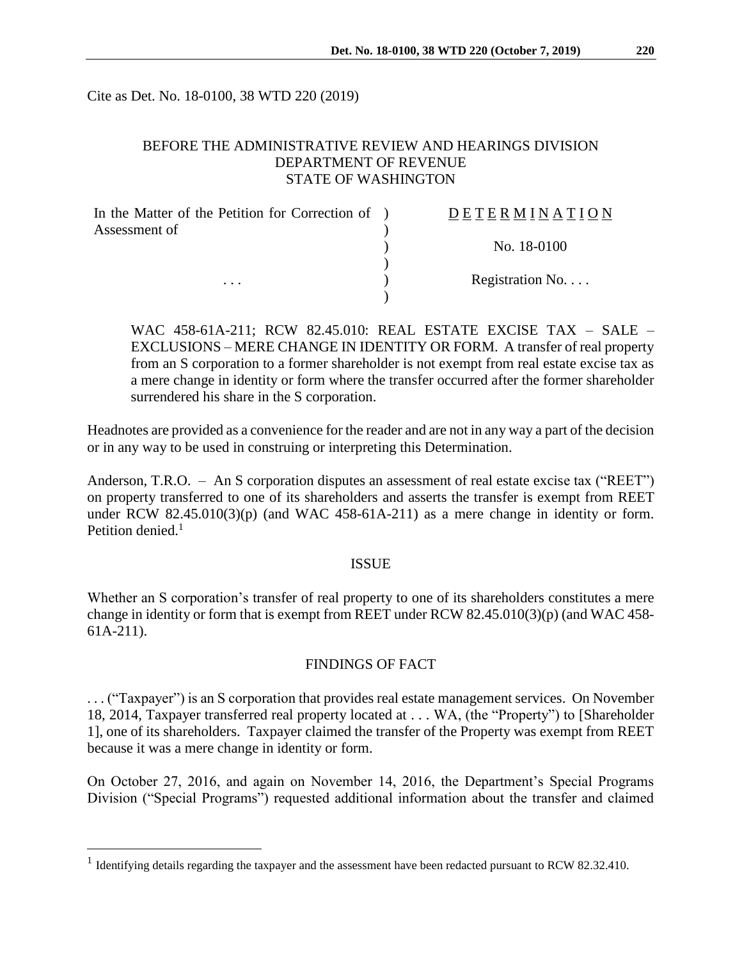Cite as Det. No. 18-0100, 38 WTD 220 (2019)

# BEFORE THE ADMINISTRATIVE REVIEW AND HEARINGS DIVISION DEPARTMENT OF REVENUE STATE OF WASHINGTON

| In the Matter of the Petition for Correction of ) | DETERMINATION   |
|---------------------------------------------------|-----------------|
| Assessment of                                     |                 |
|                                                   | No. 18-0100     |
|                                                   |                 |
| $\cdots$                                          | Registration No |
|                                                   |                 |

WAC 458-61A-211; RCW 82.45.010: REAL ESTATE EXCISE TAX – SALE – EXCLUSIONS – MERE CHANGE IN IDENTITY OR FORM. A transfer of real property from an S corporation to a former shareholder is not exempt from real estate excise tax as a mere change in identity or form where the transfer occurred after the former shareholder surrendered his share in the S corporation.

Headnotes are provided as a convenience for the reader and are not in any way a part of the decision or in any way to be used in construing or interpreting this Determination.

Anderson, T.R.O. – An S corporation disputes an assessment of real estate excise tax ("REET") on property transferred to one of its shareholders and asserts the transfer is exempt from REET under RCW  $82.45.010(3)(p)$  (and WAC  $458-61A-211$ ) as a mere change in identity or form. Petition denied. $<sup>1</sup>$ </sup>

### ISSUE

Whether an S corporation's transfer of real property to one of its shareholders constitutes a mere change in identity or form that is exempt from REET under RCW 82.45.010(3)(p) (and WAC 458- 61A-211).

# FINDINGS OF FACT

. . . ("Taxpayer") is an S corporation that provides real estate management services. On November 18, 2014, Taxpayer transferred real property located at . . . WA, (the "Property") to [Shareholder 1], one of its shareholders. Taxpayer claimed the transfer of the Property was exempt from REET because it was a mere change in identity or form.

On October 27, 2016, and again on November 14, 2016, the Department's Special Programs Division ("Special Programs") requested additional information about the transfer and claimed

 $\overline{a}$ 

<sup>&</sup>lt;sup>1</sup> Identifying details regarding the taxpayer and the assessment have been redacted pursuant to RCW 82.32.410.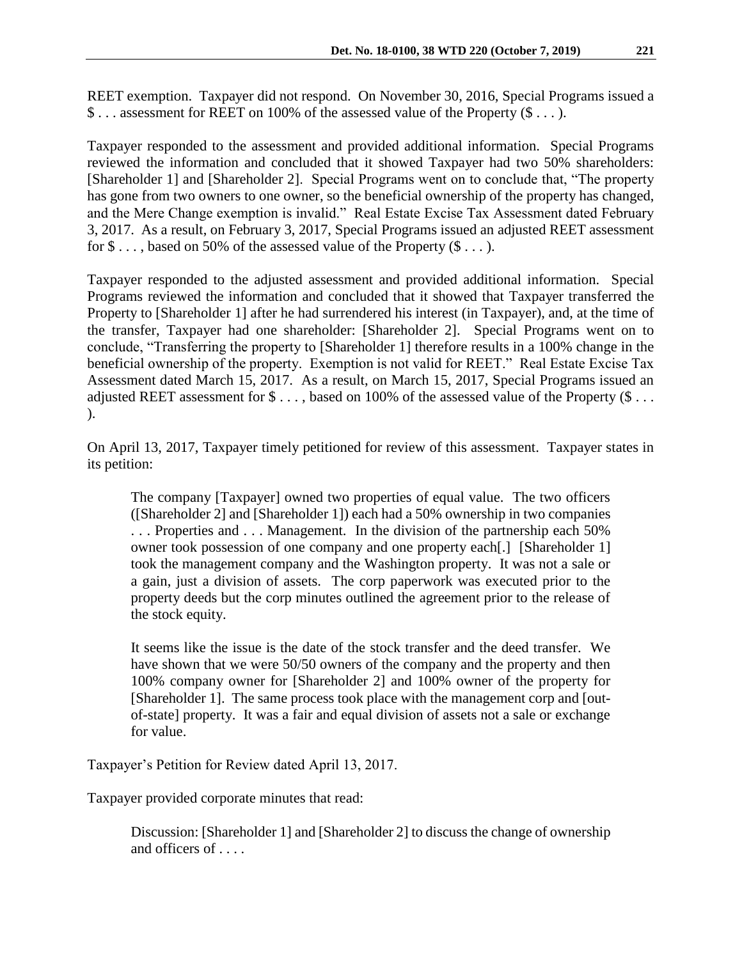REET exemption. Taxpayer did not respond. On November 30, 2016, Special Programs issued a \$ . . . assessment for REET on 100% of the assessed value of the Property (\$ . . . ).

Taxpayer responded to the assessment and provided additional information. Special Programs reviewed the information and concluded that it showed Taxpayer had two 50% shareholders: [Shareholder 1] and [Shareholder 2]. Special Programs went on to conclude that, "The property has gone from two owners to one owner, so the beneficial ownership of the property has changed, and the Mere Change exemption is invalid." Real Estate Excise Tax Assessment dated February 3, 2017. As a result, on February 3, 2017, Special Programs issued an adjusted REET assessment for  $\$\dots$ , based on 50% of the assessed value of the Property  $(\$\dots)$ .

Taxpayer responded to the adjusted assessment and provided additional information. Special Programs reviewed the information and concluded that it showed that Taxpayer transferred the Property to [Shareholder 1] after he had surrendered his interest (in Taxpayer), and, at the time of the transfer, Taxpayer had one shareholder: [Shareholder 2]. Special Programs went on to conclude, "Transferring the property to [Shareholder 1] therefore results in a 100% change in the beneficial ownership of the property. Exemption is not valid for REET." Real Estate Excise Tax Assessment dated March 15, 2017. As a result, on March 15, 2017, Special Programs issued an adjusted REET assessment for \$..., based on 100% of the assessed value of the Property (\$... ).

On April 13, 2017, Taxpayer timely petitioned for review of this assessment. Taxpayer states in its petition:

The company [Taxpayer] owned two properties of equal value. The two officers ([Shareholder 2] and [Shareholder 1]) each had a 50% ownership in two companies . . . Properties and . . . Management. In the division of the partnership each 50% owner took possession of one company and one property each[.] [Shareholder 1] took the management company and the Washington property. It was not a sale or a gain, just a division of assets. The corp paperwork was executed prior to the property deeds but the corp minutes outlined the agreement prior to the release of the stock equity.

It seems like the issue is the date of the stock transfer and the deed transfer. We have shown that we were 50/50 owners of the company and the property and then 100% company owner for [Shareholder 2] and 100% owner of the property for [Shareholder 1]. The same process took place with the management corp and [outof-state] property. It was a fair and equal division of assets not a sale or exchange for value.

Taxpayer's Petition for Review dated April 13, 2017.

Taxpayer provided corporate minutes that read:

Discussion: [Shareholder 1] and [Shareholder 2] to discuss the change of ownership and officers of . . . .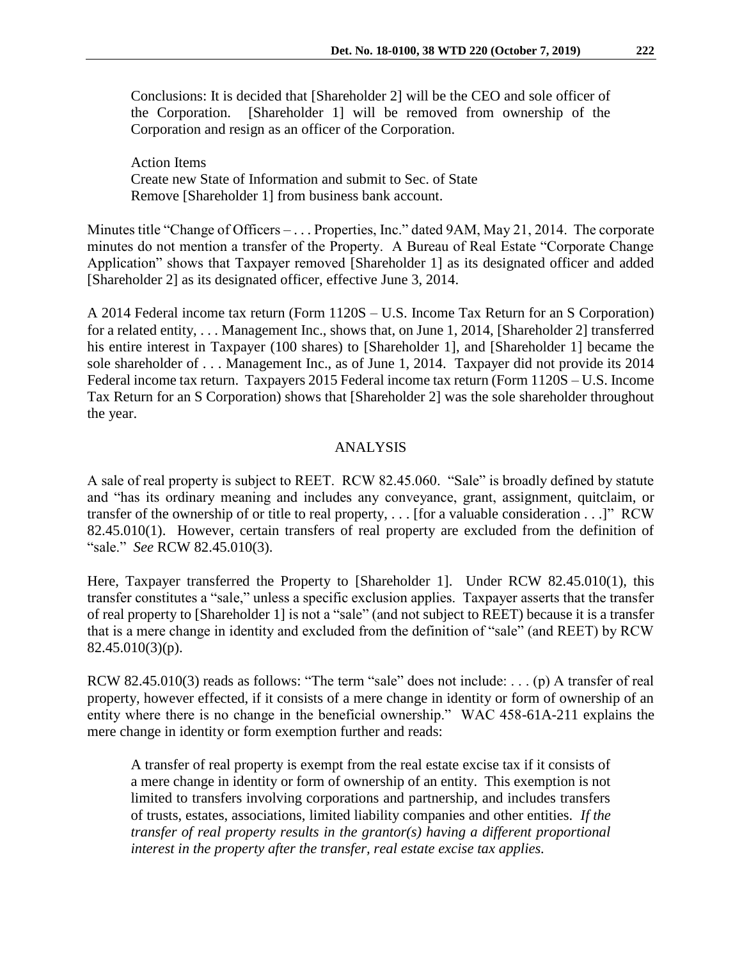Conclusions: It is decided that [Shareholder 2] will be the CEO and sole officer of the Corporation. [Shareholder 1] will be removed from ownership of the Corporation and resign as an officer of the Corporation.

Action Items Create new State of Information and submit to Sec. of State Remove [Shareholder 1] from business bank account.

Minutes title "Change of Officers – . . . Properties, Inc." dated 9AM, May 21, 2014. The corporate minutes do not mention a transfer of the Property. A Bureau of Real Estate "Corporate Change Application" shows that Taxpayer removed [Shareholder 1] as its designated officer and added [Shareholder 2] as its designated officer, effective June 3, 2014.

A 2014 Federal income tax return (Form 1120S – U.S. Income Tax Return for an S Corporation) for a related entity, . . . Management Inc., shows that, on June 1, 2014, [Shareholder 2] transferred his entire interest in Taxpayer (100 shares) to [Shareholder 1], and [Shareholder 1] became the sole shareholder of . . . Management Inc., as of June 1, 2014. Taxpayer did not provide its 2014 Federal income tax return. Taxpayers 2015 Federal income tax return (Form 1120S – U.S. Income Tax Return for an S Corporation) shows that [Shareholder 2] was the sole shareholder throughout the year.

### ANALYSIS

A sale of real property is subject to REET. RCW 82.45.060. "Sale" is broadly defined by statute and "has its ordinary meaning and includes any conveyance, grant, assignment, quitclaim, or transfer of the ownership of or title to real property, . . . [for a valuable consideration . . .]" RCW 82.45.010(1). However, certain transfers of real property are excluded from the definition of "sale." *See* RCW 82.45.010(3).

Here, Taxpayer transferred the Property to [Shareholder 1]. Under RCW 82.45.010(1), this transfer constitutes a "sale," unless a specific exclusion applies. Taxpayer asserts that the transfer of real property to [Shareholder 1] is not a "sale" (and not subject to REET) because it is a transfer that is a mere change in identity and excluded from the definition of "sale" (and REET) by RCW 82.45.010(3)(p).

RCW 82.45.010(3) reads as follows: "The term "sale" does not include: . . . (p) A transfer of real property, however effected, if it consists of a mere change in identity or form of ownership of an entity where there is no change in the beneficial ownership." WAC 458-61A-211 explains the mere change in identity or form exemption further and reads:

A transfer of real property is exempt from the real estate excise tax if it consists of a mere change in identity or form of ownership of an entity. This exemption is not limited to transfers involving corporations and partnership, and includes transfers of trusts, estates, associations, limited liability companies and other entities. *If the transfer of real property results in the grantor(s) having a different proportional interest in the property after the transfer, real estate excise tax applies.*